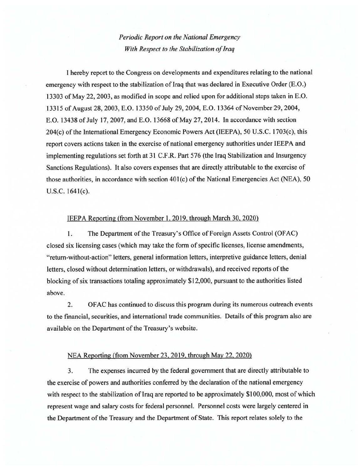*Periodic Report on the National Emergency With Respect to the Stabilization of Iraq* 

I hereby report to the Congress on developments and expenditures relating to the national emergency with respect to the stabilization of Iraq that was declared in Executive Order (E.O.) 13303 of May 22,2003, as modified in scope and relied upon for additional steps taken in E.O. 13315 of August 28, 2003, E.O. 13350 of July 29, 2004, E.O. 13364 of November 29, 2004, E.O. 13438 of July 17, 2007, and E.O. 13668 of May 27, 2014. In accordance with section 204(c) of the International Emergency Economic Powers Act (IEEPA), 50 U.S.C. 1703(c), this report covers actions taken in the exercise of national emergency authorities under IEEPA and implementing regulations set forth at 31 C.F.R. Part 576 (the Iraq Stabilization and Insurgency Sanctions Regulations). It also covers expenses that are directly attributable to the exercise of those authorities, in accordance with section 40l(c) of the National Emergencies Act (NEA), 50 U.S.C. 1641(c).

## IEEPA Reporting (from November l, 2019, through March 30, 2020)

1. The Department of the Treasury's Office of Foreign Assets Control (OFAC) closed six licensing cases (which may take the form of specific licenses, license amendments, "return-without-action" letters, general information letters, interpretive guidance letters, denial letters, closed without determination letters, or withdrawals), and received reports of the blocking of six transactions totaling approximately \$12,000, pursuant to the authorities listed above.

2. OF AC has continued to discuss this program during its numerous outreach events to the financial, securities, and international trade communities. Details of this program also are available on the Department of the Treasury's website.

## NEA Reporting (from November 23,2019. through May 22, 2020)

3. The expenses incurred by the federal government that are directly attributable to the exercise of powers and authorities conferred by the declaration of the national emergency with respect to the stabilization of Iraq are reported to be approximately  $$100,000$ , most of which represent wage and salary costs for federal personnel. Personnel costs were largely centered in the Department of the Treasury and the Department of State. This report relates solely to the